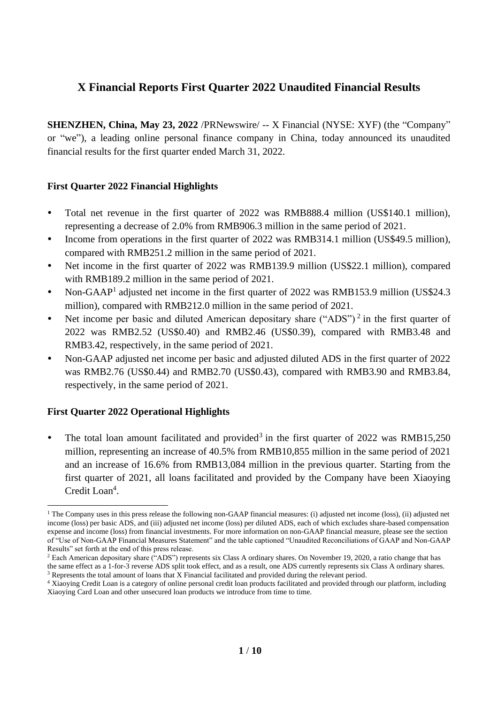# **X Financial Reports First Quarter 2022 Unaudited Financial Results**

**SHENZHEN, China, May 23, 2022** /PRNewswire/ -- X Financial (NYSE: XYF) (the "Company" or "we"), a leading online personal finance company in China, today announced its unaudited financial results for the first quarter ended March 31, 2022.

#### **First Quarter 2022 Financial Highlights**

- Total net revenue in the first quarter of 2022 was RMB888.4 million (US\$140.1 million), representing a decrease of 2.0% from RMB906.3 million in the same period of 2021.
- Income from operations in the first quarter of 2022 was RMB314.1 million (US\$49.5 million), compared with RMB251.2 million in the same period of 2021.
- Net income in the first quarter of 2022 was RMB139.9 million (US\$22.1 million), compared with RMB189.2 million in the same period of 2021.
- Non-GAAP<sup>1</sup> adjusted net income in the first quarter of 2022 was RMB153.9 million (US\$24.3) million), compared with RMB212.0 million in the same period of 2021.
- Net income per basic and diluted American depositary share  $("ADS")^2$  in the first quarter of 2022 was RMB2.52 (US\$0.40) and RMB2.46 (US\$0.39), compared with RMB3.48 and RMB3.42, respectively, in the same period of 2021.
- Non-GAAP adjusted net income per basic and adjusted diluted ADS in the first quarter of 2022 was RMB2.76 (US\$0.44) and RMB2.70 (US\$0.43), compared with RMB3.90 and RMB3.84, respectively, in the same period of 2021.

#### **First Quarter 2022 Operational Highlights**

• The total loan amount facilitated and provided<sup>3</sup> in the first quarter of 2022 was RMB15,250 million, representing an increase of 40.5% from RMB10,855 million in the same period of 2021 and an increase of 16.6% from RMB13,084 million in the previous quarter. Starting from the first quarter of 2021, all loans facilitated and provided by the Company have been Xiaoying Credit Loan<sup>4</sup>.

<sup>1</sup> The Company uses in this press release the following non-GAAP financial measures: (i) adjusted net income (loss), (ii) adjusted net income (loss) per basic ADS, and (iii) adjusted net income (loss) per diluted ADS, each of which excludes share-based compensation expense and income (loss) from financial investments. For more information on non-GAAP financial measure, please see the section of "Use of Non-GAAP Financial Measures Statement" and the table captioned "Unaudited Reconciliations of GAAP and Non-GAAP Results" set forth at the end of this press release.

<sup>2</sup> Each American depositary share ("ADS") represents six Class A ordinary shares. On November 19, 2020, a ratio change that has the same effect as a 1-for-3 reverse ADS split took effect, and as a result, one ADS currently represents six Class A ordinary shares. <sup>3</sup> Represents the total amount of loans that X Financial facilitated and provided during the relevant period.

<sup>4</sup> Xiaoying Credit Loan is a category of online personal credit loan products facilitated and provided through our platform, including Xiaoying Card Loan and other unsecured loan products we introduce from time to time.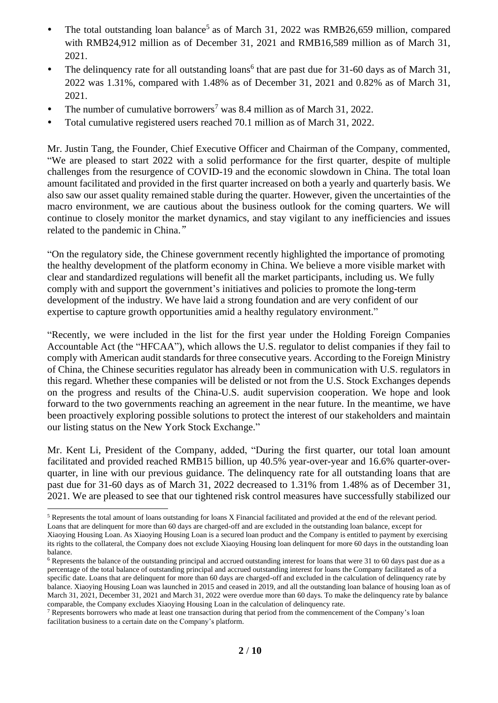- The total outstanding loan balance<sup>5</sup> as of March 31, 2022 was RMB26,659 million, compared with RMB24,912 million as of December 31, 2021 and RMB16,589 million as of March 31, 2021.
- The delinquency rate for all outstanding loans<sup>6</sup> that are past due for  $31-60$  days as of March  $31$ , 2022 was 1.31%, compared with 1.48% as of December 31, 2021 and 0.82% as of March 31, 2021.
- The number of cumulative borrowers<sup>7</sup> was 8.4 million as of March 31, 2022.
- Total cumulative registered users reached 70.1 million as of March 31, 2022.

Mr. Justin Tang, the Founder, Chief Executive Officer and Chairman of the Company, commented, "We are pleased to start 2022 with a solid performance for the first quarter, despite of multiple challenges from the resurgence of COVID-19 and the economic slowdown in China. The total loan amount facilitated and provided in the first quarter increased on both a yearly and quarterly basis. We also saw our asset quality remained stable during the quarter. However, given the uncertainties of the macro environment, we are cautious about the business outlook for the coming quarters. We will continue to closely monitor the market dynamics, and stay vigilant to any inefficiencies and issues related to the pandemic in China."

"On the regulatory side, the Chinese government recently highlighted the importance of promoting the healthy development of the platform economy in China. We believe a more visible market with clear and standardized regulations will benefit all the market participants, including us. We fully comply with and support the government's initiatives and policies to promote the long-term development of the industry. We have laid a strong foundation and are very confident of our expertise to capture growth opportunities amid a healthy regulatory environment."

"Recently, we were included in the list for the first year under the Holding Foreign Companies Accountable Act (the "HFCAA"), which allows the U.S. regulator to delist companies if they fail to comply with American audit standards for three consecutive years. According to the Foreign Ministry of China, the Chinese securities regulator has already been in communication with U.S. regulators in this regard. Whether these companies will be delisted or not from the U.S. Stock Exchanges depends on the progress and results of the China-U.S. audit supervision cooperation. We hope and look forward to the two governments reaching an agreement in the near future. In the meantime, we have been proactively exploring possible solutions to protect the interest of our stakeholders and maintain our listing status on the New York Stock Exchange."

Mr. Kent Li, President of the Company, added, "During the first quarter, our total loan amount facilitated and provided reached RMB15 billion, up 40.5% year-over-year and 16.6% quarter-overquarter, in line with our previous guidance. The delinquency rate for all outstanding loans that are past due for 31-60 days as of March 31, 2022 decreased to 1.31% from 1.48% as of December 31, 2021. We are pleased to see that our tightened risk control measures have successfully stabilized our

<sup>5</sup> Represents the total amount of loans outstanding for loans X Financial facilitated and provided at the end of the relevant period. Loans that are delinquent for more than 60 days are charged-off and are excluded in the outstanding loan balance, except for Xiaoying Housing Loan. As Xiaoying Housing Loan is a secured loan product and the Company is entitled to payment by exercising its rights to the collateral, the Company does not exclude Xiaoying Housing loan delinquent for more 60 days in the outstanding loan balance.

<sup>6</sup> Represents the balance of the outstanding principal and accrued outstanding interest for loans that were 31 to 60 days past due as a percentage of the total balance of outstanding principal and accrued outstanding interest for loans the Company facilitated as of a specific date. Loans that are delinquent for more than 60 days are charged-off and excluded in the calculation of delinquency rate by balance. Xiaoying Housing Loan was launched in 2015 and ceased in 2019, and all the outstanding loan balance of housing loan as of March 31, 2021, December 31, 2021 and March 31, 2022 were overdue more than 60 days. To make the delinquency rate by balance comparable, the Company excludes Xiaoying Housing Loan in the calculation of delinquency rate.

<sup>&</sup>lt;sup>7</sup> Represents borrowers who made at least one transaction during that period from the commencement of the Company's loan facilitation business to a certain date on the Company's platform.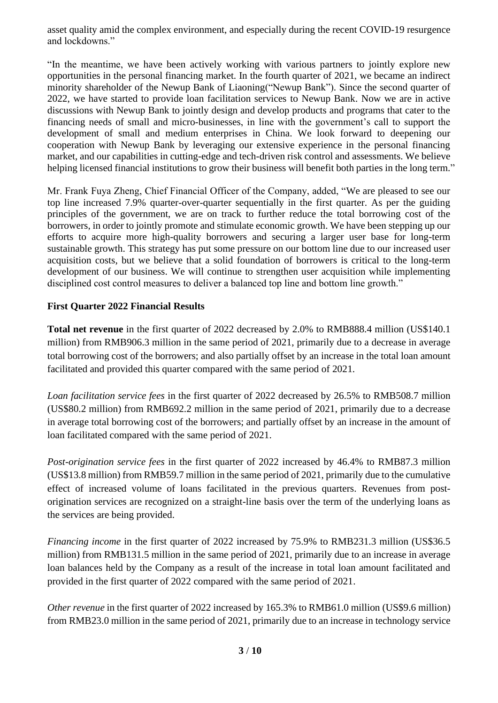asset quality amid the complex environment, and especially during the recent COVID-19 resurgence and lockdowns."

"In the meantime, we have been actively working with various partners to jointly explore new opportunities in the personal financing market. In the fourth quarter of 2021, we became an indirect minority shareholder of the Newup Bank of Liaoning("Newup Bank"). Since the second quarter of 2022, we have started to provide loan facilitation services to Newup Bank. Now we are in active discussions with Newup Bank to jointly design and develop products and programs that cater to the financing needs of small and micro-businesses, in line with the government's call to support the development of small and medium enterprises in China. We look forward to deepening our cooperation with Newup Bank by leveraging our extensive experience in the personal financing market, and our capabilities in cutting-edge and tech-driven risk control and assessments. We believe helping licensed financial institutions to grow their business will benefit both parties in the long term."

Mr. Frank Fuya Zheng, Chief Financial Officer of the Company, added, "We are pleased to see our top line increased 7.9% quarter-over-quarter sequentially in the first quarter. As per the guiding principles of the government, we are on track to further reduce the total borrowing cost of the borrowers, in order to jointly promote and stimulate economic growth. We have been stepping up our efforts to acquire more high-quality borrowers and securing a larger user base for long-term sustainable growth. This strategy has put some pressure on our bottom line due to our increased user acquisition costs, but we believe that a solid foundation of borrowers is critical to the long-term development of our business. We will continue to strengthen user acquisition while implementing disciplined cost control measures to deliver a balanced top line and bottom line growth."

## **First Quarter 2022 Financial Results**

**Total net revenue** in the first quarter of 2022 decreased by 2.0% to RMB888.4 million (US\$140.1 million) from RMB906.3 million in the same period of 2021, primarily due to a decrease in average total borrowing cost of the borrowers; and also partially offset by an increase in the total loan amount facilitated and provided this quarter compared with the same period of 2021.

*Loan facilitation service fees* in the first quarter of 2022 decreased by 26.5% to RMB508.7 million (US\$80.2 million) from RMB692.2 million in the same period of 2021, primarily due to a decrease in average total borrowing cost of the borrowers; and partially offset by an increase in the amount of loan facilitated compared with the same period of 2021.

*Post-origination service fees* in the first quarter of 2022 increased by 46.4% to RMB87.3 million (US\$13.8 million) from RMB59.7 million in the same period of 2021, primarily due to the cumulative effect of increased volume of loans facilitated in the previous quarters. Revenues from postorigination services are recognized on a straight-line basis over the term of the underlying loans as the services are being provided.

*Financing income* in the first quarter of 2022 increased by 75.9% to RMB231.3 million (US\$36.5) million) from RMB131.5 million in the same period of 2021, primarily due to an increase in average loan balances held by the Company as a result of the increase in total loan amount facilitated and provided in the first quarter of 2022 compared with the same period of 2021.

*Other revenue* in the first quarter of 2022 increased by 165.3% to RMB61.0 million (US\$9.6 million) from RMB23.0 million in the same period of 2021, primarily due to an increase in technology service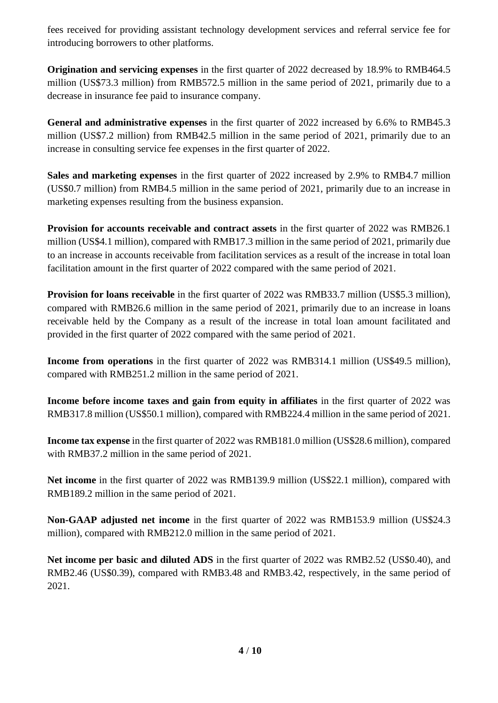fees received for providing assistant technology development services and referral service fee for introducing borrowers to other platforms.

**Origination and servicing expenses** in the first quarter of 2022 decreased by 18.9% to RMB464.5 million (US\$73.3 million) from RMB572.5 million in the same period of 2021, primarily due to a decrease in insurance fee paid to insurance company.

**General and administrative expenses** in the first quarter of 2022 increased by 6.6% to RMB45.3 million (US\$7.2 million) from RMB42.5 million in the same period of 2021, primarily due to an increase in consulting service fee expenses in the first quarter of 2022.

**Sales and marketing expenses** in the first quarter of 2022 increased by 2.9% to RMB4.7 million (US\$0.7 million) from RMB4.5 million in the same period of 2021, primarily due to an increase in marketing expenses resulting from the business expansion.

**Provision for accounts receivable and contract assets** in the first quarter of 2022 was RMB26.1 million (US\$4.1 million), compared with RMB17.3 million in the same period of 2021, primarily due to an increase in accounts receivable from facilitation services as a result of the increase in total loan facilitation amount in the first quarter of 2022 compared with the same period of 2021.

**Provision for loans receivable** in the first quarter of 2022 was RMB33.7 million (US\$5.3 million), compared with RMB26.6 million in the same period of 2021, primarily due to an increase in loans receivable held by the Company as a result of the increase in total loan amount facilitated and provided in the first quarter of 2022 compared with the same period of 2021.

**Income from operations** in the first quarter of 2022 was RMB314.1 million (US\$49.5 million), compared with RMB251.2 million in the same period of 2021.

**Income before income taxes and gain from equity in affiliates** in the first quarter of 2022 was RMB317.8 million (US\$50.1 million), compared with RMB224.4 million in the same period of 2021.

**Income tax expense** in the first quarter of 2022 was RMB181.0 million (US\$28.6 million), compared with RMB37.2 million in the same period of 2021.

**Net income** in the first quarter of 2022 was RMB139.9 million (US\$22.1 million), compared with RMB189.2 million in the same period of 2021.

**Non-GAAP adjusted net income** in the first quarter of 2022 was RMB153.9 million (US\$24.3 million), compared with RMB212.0 million in the same period of 2021.

**Net income per basic and diluted ADS** in the first quarter of 2022 was RMB2.52 (US\$0.40), and RMB2.46 (US\$0.39), compared with RMB3.48 and RMB3.42, respectively, in the same period of 2021.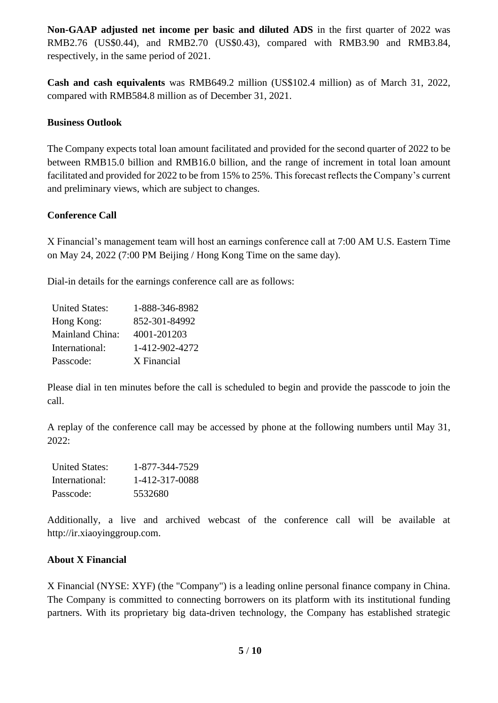**Non-GAAP adjusted net income per basic and diluted ADS** in the first quarter of 2022 was RMB2.76 (US\$0.44), and RMB2.70 (US\$0.43), compared with RMB3.90 and RMB3.84, respectively, in the same period of 2021.

**Cash and cash equivalents** was RMB649.2 million (US\$102.4 million) as of March 31, 2022, compared with RMB584.8 million as of December 31, 2021.

## **Business Outlook**

The Company expects total loan amount facilitated and provided for the second quarter of 2022 to be between RMB15.0 billion and RMB16.0 billion, and the range of increment in total loan amount facilitated and provided for 2022 to be from 15% to 25%. This forecast reflects the Company's current and preliminary views, which are subject to changes.

## **Conference Call**

X Financial's management team will host an earnings conference call at 7:00 AM U.S. Eastern Time on May 24, 2022 (7:00 PM Beijing / Hong Kong Time on the same day).

Dial-in details for the earnings conference call are as follows:

| <b>United States:</b>  | 1-888-346-8982 |
|------------------------|----------------|
| Hong Kong:             | 852-301-84992  |
| <b>Mainland China:</b> | 4001-201203    |
| International:         | 1-412-902-4272 |
| Passcode:              | X Financial    |

Please dial in ten minutes before the call is scheduled to begin and provide the passcode to join the call.

A replay of the conference call may be accessed by phone at the following numbers until May 31, 2022:

| <b>United States:</b> | 1-877-344-7529 |
|-----------------------|----------------|
| International:        | 1-412-317-0088 |
| Passcode:             | 5532680        |

Additionally, a live and archived webcast of the conference call will be available at http://ir.xiaoyinggroup.com.

#### **About X Financial**

X Financial (NYSE: XYF) (the "Company") is a leading online personal finance company in China. The Company is committed to connecting borrowers on its platform with its institutional funding partners. With its proprietary big data-driven technology, the Company has established strategic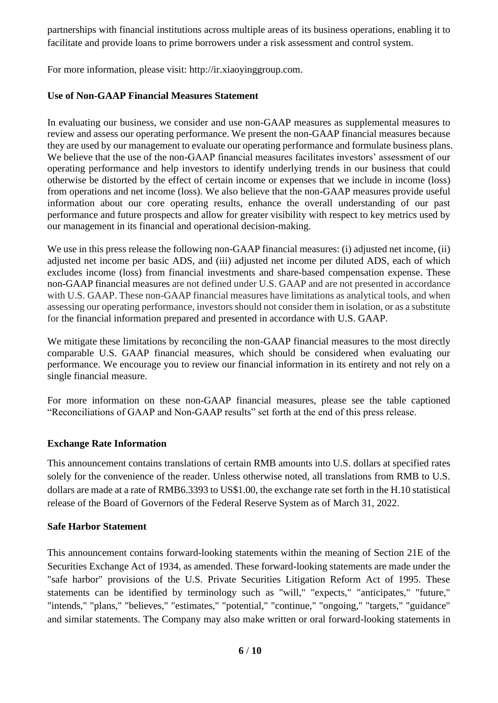partnerships with financial institutions across multiple areas of its business operations, enabling it to facilitate and provide loans to prime borrowers under a risk assessment and control system.

For more information, please visit: http://ir.xiaoyinggroup.com.

#### **Use of Non-GAAP Financial Measures Statement**

In evaluating our business, we consider and use non-GAAP measures as supplemental measures to review and assess our operating performance. We present the non-GAAP financial measures because they are used by our management to evaluate our operating performance and formulate business plans. We believe that the use of the non-GAAP financial measures facilitates investors' assessment of our operating performance and help investors to identify underlying trends in our business that could otherwise be distorted by the effect of certain income or expenses that we include in income (loss) from operations and net income (loss). We also believe that the non-GAAP measures provide useful information about our core operating results, enhance the overall understanding of our past performance and future prospects and allow for greater visibility with respect to key metrics used by our management in its financial and operational decision-making.

We use in this press release the following non-GAAP financial measures: (i) adjusted net income, (ii) adjusted net income per basic ADS, and (iii) adjusted net income per diluted ADS, each of which excludes income (loss) from financial investments and share-based compensation expense. These non-GAAP financial measures are not defined under U.S. GAAP and are not presented in accordance with U.S. GAAP. These non-GAAP financial measures have limitations as analytical tools, and when assessing our operating performance, investors should not consider them in isolation, or as a substitute for the financial information prepared and presented in accordance with U.S. GAAP.

We mitigate these limitations by reconciling the non-GAAP financial measures to the most directly comparable U.S. GAAP financial measures, which should be considered when evaluating our performance. We encourage you to review our financial information in its entirety and not rely on a single financial measure.

For more information on these non-GAAP financial measures, please see the table captioned "Reconciliations of GAAP and Non-GAAP results" set forth at the end of this press release.

#### **Exchange Rate Information**

This announcement contains translations of certain RMB amounts into U.S. dollars at specified rates solely for the convenience of the reader. Unless otherwise noted, all translations from RMB to U.S. dollars are made at a rate of RMB6.3393 to US\$1.00, the exchange rate set forth in the H.10 statistical release of the Board of Governors of the Federal Reserve System as of March 31, 2022.

#### **Safe Harbor Statement**

This announcement contains forward-looking statements within the meaning of Section 21E of the Securities Exchange Act of 1934, as amended. These forward-looking statements are made under the "safe harbor" provisions of the U.S. Private Securities Litigation Reform Act of 1995. These statements can be identified by terminology such as "will," "expects," "anticipates," "future," "intends," "plans," "believes," "estimates," "potential," "continue," "ongoing," "targets," "guidance" and similar statements. The Company may also make written or oral forward-looking statements in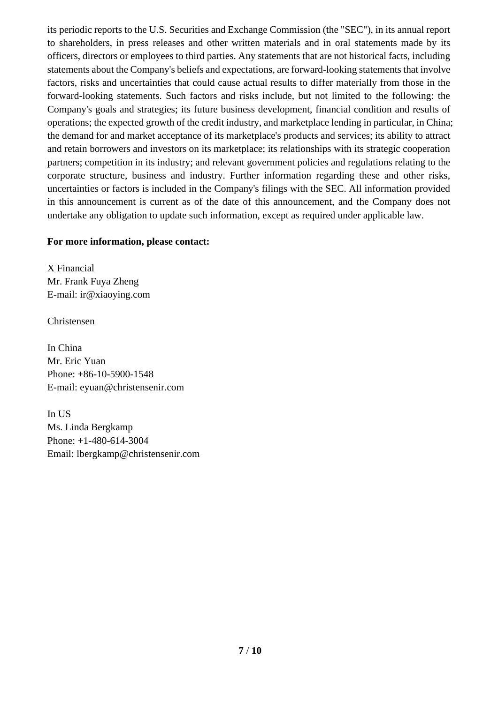its periodic reports to the U.S. Securities and Exchange Commission (the "SEC"), in its annual report to shareholders, in press releases and other written materials and in oral statements made by its officers, directors or employees to third parties. Any statements that are not historical facts, including statements about the Company's beliefs and expectations, are forward-looking statements that involve factors, risks and uncertainties that could cause actual results to differ materially from those in the forward-looking statements. Such factors and risks include, but not limited to the following: the Company's goals and strategies; its future business development, financial condition and results of operations; the expected growth of the credit industry, and marketplace lending in particular, in China; the demand for and market acceptance of its marketplace's products and services; its ability to attract and retain borrowers and investors on its marketplace; its relationships with its strategic cooperation partners; competition in its industry; and relevant government policies and regulations relating to the corporate structure, business and industry. Further information regarding these and other risks, uncertainties or factors is included in the Company's filings with the SEC. All information provided in this announcement is current as of the date of this announcement, and the Company does not undertake any obligation to update such information, except as required under applicable law.

#### **For more information, please contact:**

X Financial Mr. Frank Fuya Zheng E-mail: ir@xiaoying.com

Christensen

In China Mr. Eric Yuan Phone: +86-10-5900-1548 E-mail: eyuan@christensenir.com

In US Ms. Linda Bergkamp Phone: +1-480-614-3004 Email: lbergkamp@christensenir.com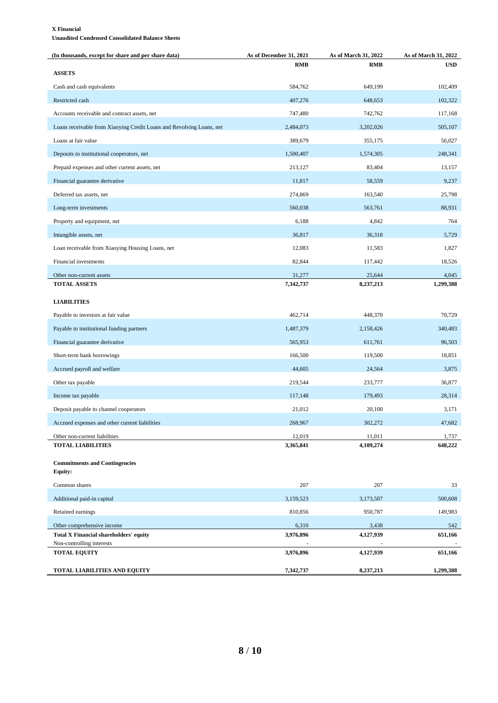#### **X Financial Unaudited Condensed Consolidated Balance Sheets**

| (In thousands, except for share and per share data)                        | As of December 31, 2021 | As of March 31, 2022 | As of March 31, 2022 |
|----------------------------------------------------------------------------|-------------------------|----------------------|----------------------|
| <b>ASSETS</b>                                                              | RMB                     | RMB                  | USD                  |
| Cash and cash equivalents                                                  | 584,762                 | 649,199              | 102,409              |
| Restricted cash                                                            | 407,276                 | 648,653              | 102,322              |
| Accounts receivable and contract assets, net                               | 747,480                 | 742,762              | 117,168              |
| Loans receivable from Xiaoying Credit Loans and Revolving Loans, net       | 2,484,073               | 3,202,026            | 505,107              |
| Loans at fair value                                                        | 389,679                 | 355,175              | 56,027               |
| Deposits to institutional cooperators, net                                 | 1,500,407               | 1,574,305            | 248,341              |
| Prepaid expenses and other current assets, net                             | 213,127                 | 83,404               | 13,157               |
| Financial guarantee derivative                                             | 11,817                  | 58,559               | 9,237                |
| Deferred tax assets, net                                                   | 274,869                 | 163,540              | 25,798               |
| Long-term investments                                                      | 560,038                 | 563,761              | 88,931               |
| Property and equipment, net                                                | 6,188                   | 4,842                | 764                  |
| Intangible assets, net                                                     | 36,817                  | 36,318               | 5,729                |
| Loan receivable from Xiaoying Housing Loans, net                           | 12,083                  | 11,583               | 1,827                |
| Financial investments                                                      | 82,844                  | 117,442              | 18,526               |
| Other non-current assets                                                   | 31,277                  | 25,644               | 4,045                |
| <b>TOTAL ASSETS</b>                                                        | 7,342,737               | 8,237,213            | 1,299,388            |
| <b>LIABILITIES</b>                                                         |                         |                      |                      |
| Payable to investors at fair value                                         | 462,714                 | 448,370              | 70,729               |
| Payable to institutional funding partners                                  | 1,487,379               | 2,158,426            | 340,483              |
| Financial guarantee derivative                                             | 565,953                 | 611,761              | 96,503               |
| Short-term bank borrowings                                                 | 166,500                 | 119,500              | 18,851               |
| Accrued payroll and welfare                                                | 44,605                  | 24,564               | 3,875                |
| Other tax payable                                                          | 219,544                 | 233,777              | 36,877               |
| Income tax payable                                                         | 117,148                 | 179,493              | 28,314               |
| Deposit payable to channel cooperators                                     | 21,012                  | 20,100               | 3,171                |
| Accrued expenses and other current liabilities                             | 268,967                 | 302,272              | 47,682               |
| Other non-current liabilities                                              | 12,019                  | 11,011               | 1,737                |
| <b>TOTAL LIABILITIES</b>                                                   | 3,365,841               | 4,109,274            | 648,222              |
| <b>Commitments and Contingencies</b><br><b>Equity:</b>                     |                         |                      |                      |
| Common shares                                                              | 207                     | 207                  | 33                   |
| Additional paid-in capital                                                 | 3,159,523               | 3,173,507            | 500,608              |
| Retained earnings                                                          | 810,856                 | 950,787              | 149,983              |
| Other comprehensive income                                                 | 6,310                   | 3,438                | 542                  |
| <b>Total X Financial shareholders' equity</b><br>Non-controlling interests | 3,976,896               | 4,127,939            | 651,166              |
| <b>TOTAL EQUITY</b>                                                        | 3,976,896               | 4,127,939            | 651,166              |
|                                                                            |                         |                      |                      |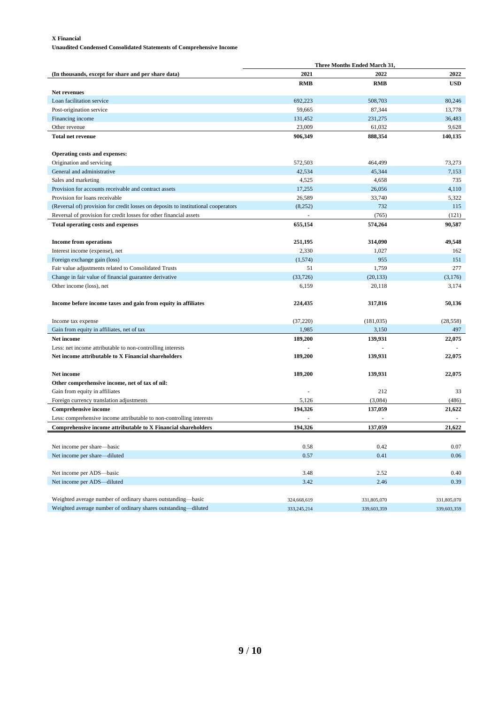#### **X Financial**

**Unaudited Condensed Consolidated Statements of Comprehensive Income**

|                                                                                                                   | Three Months Ended March 31,        |             |             |
|-------------------------------------------------------------------------------------------------------------------|-------------------------------------|-------------|-------------|
| (In thousands, except for share and per share data)                                                               | 2021                                | 2022        | 2022        |
|                                                                                                                   | RMB                                 | <b>RMB</b>  | <b>USD</b>  |
| Net revenues                                                                                                      |                                     |             |             |
| Loan facilitation service                                                                                         | 692,223                             | 508,703     | 80,246      |
| Post-origination service                                                                                          | 59,665                              | 87,344      | 13,778      |
| Financing income                                                                                                  | 131,452                             | 231,275     | 36,483      |
| Other revenue                                                                                                     | 23,009                              | 61,032      | 9,628       |
| <b>Total net revenue</b>                                                                                          | 906,349                             | 888,354     | 140,135     |
|                                                                                                                   |                                     |             |             |
| Operating costs and expenses:                                                                                     |                                     |             |             |
| Origination and servicing                                                                                         | 572,503                             | 464,499     | 73,273      |
| General and administrative                                                                                        | 42,534                              | 45,344      | 7,153       |
| Sales and marketing                                                                                               | 4,525                               | 4,658       | 735         |
| Provision for accounts receivable and contract assets                                                             | 17,255                              | 26,056      | 4,110       |
| Provision for loans receivable                                                                                    | 26,589                              | 33,740      | 5,322       |
| (Reversal of) provision for credit losses on deposits to institutional cooperators                                | (8,252)                             | 732         | 115         |
| Reversal of provision for credit losses for other financial assets                                                |                                     | (765)       | (121)       |
| <b>Total operating costs and expenses</b>                                                                         | 655,154                             | 574,264     | 90,587      |
|                                                                                                                   |                                     |             |             |
| <b>Income from operations</b>                                                                                     | 251,195                             | 314,090     | 49,548      |
| Interest income (expense), net                                                                                    | 2,330                               | 1,027       | 162         |
| Foreign exchange gain (loss)                                                                                      | (1,574)                             | 955         | 151         |
| Fair value adjustments related to Consolidated Trusts                                                             | 51                                  | 1,759       | 277         |
| Change in fair value of financial guarantee derivative                                                            | (33, 726)                           | (20, 133)   | (3,176)     |
| Other income (loss), net                                                                                          | 6,159                               | 20,118      | 3,174       |
|                                                                                                                   |                                     |             |             |
| Income before income taxes and gain from equity in affiliates                                                     | 224,435                             | 317,816     | 50,136      |
|                                                                                                                   |                                     |             |             |
| Income tax expense                                                                                                | (37,220)                            | (181, 035)  | (28, 558)   |
| Gain from equity in affiliates, net of tax                                                                        | 1,985                               | 3,150       | 497         |
| Net income                                                                                                        | 189,200                             | 139,931     | 22,075      |
| Less: net income attributable to non-controlling interests<br>Net income attributable to X Financial shareholders | $\overline{\phantom{a}}$<br>189,200 | 139,931     | 22,075      |
|                                                                                                                   |                                     |             |             |
| Net income                                                                                                        | 189,200                             | 139,931     | 22,075      |
| Other comprehensive income, net of tax of nil:                                                                    |                                     |             |             |
| Gain from equity in affiliates                                                                                    |                                     | 212         | 33          |
| Foreign currency translation adjustments                                                                          | 5,126                               | (3,084)     | (486)       |
| <b>Comprehensive income</b>                                                                                       | 194,326                             | 137,059     | 21,622      |
| Less: comprehensive income attributable to non-controlling interests                                              |                                     |             |             |
| Comprehensive income attributable to X Financial shareholders                                                     | 194,326                             | 137,059     | 21,622      |
|                                                                                                                   |                                     |             |             |
| Net income per share—basic                                                                                        | 0.58                                | 0.42        | 0.07        |
| Net income per share—diluted                                                                                      | 0.57                                | 0.41        | 0.06        |
|                                                                                                                   |                                     |             |             |
| Net income per ADS-basic                                                                                          | 3.48                                | 2.52        | 0.40        |
| Net income per ADS-diluted                                                                                        | 3.42                                | 2.46        | 0.39        |
|                                                                                                                   |                                     |             |             |
| Weighted average number of ordinary shares outstanding-basic                                                      | 324,668,619                         | 331,805,070 | 331,805,070 |
| Weighted average number of ordinary shares outstanding-diluted                                                    | 333,245,214                         | 339,603,359 | 339,603,359 |